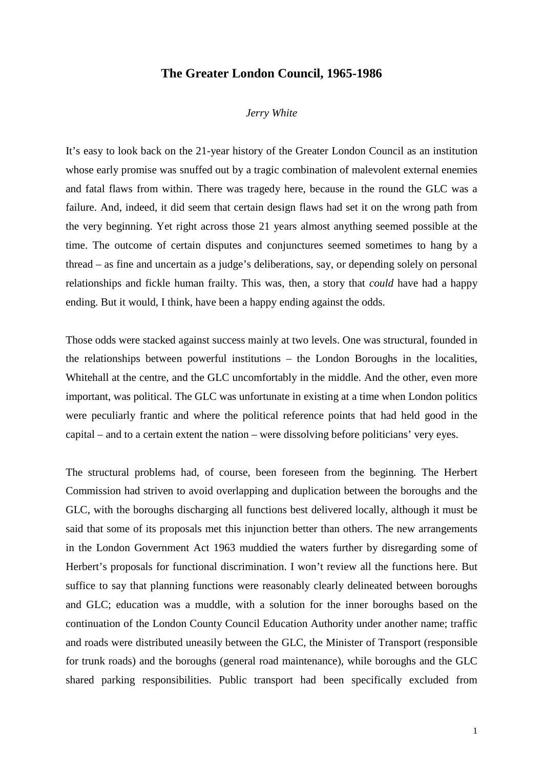## **The Greater London Council, 1965-1986**

## *Jerry White*

It's easy to look back on the 21-year history of the Greater London Council as an institution whose early promise was snuffed out by a tragic combination of malevolent external enemies and fatal flaws from within. There was tragedy here, because in the round the GLC was a failure. And, indeed, it did seem that certain design flaws had set it on the wrong path from the very beginning. Yet right across those 21 years almost anything seemed possible at the time. The outcome of certain disputes and conjunctures seemed sometimes to hang by a thread – as fine and uncertain as a judge's deliberations, say, or depending solely on personal relationships and fickle human frailty. This was, then, a story that *could* have had a happy ending. But it would, I think, have been a happy ending against the odds.

Those odds were stacked against success mainly at two levels. One was structural, founded in the relationships between powerful institutions – the London Boroughs in the localities, Whitehall at the centre, and the GLC uncomfortably in the middle. And the other, even more important, was political. The GLC was unfortunate in existing at a time when London politics were peculiarly frantic and where the political reference points that had held good in the capital – and to a certain extent the nation – were dissolving before politicians' very eyes.

The structural problems had, of course, been foreseen from the beginning. The Herbert Commission had striven to avoid overlapping and duplication between the boroughs and the GLC, with the boroughs discharging all functions best delivered locally, although it must be said that some of its proposals met this injunction better than others. The new arrangements in the London Government Act 1963 muddied the waters further by disregarding some of Herbert's proposals for functional discrimination. I won't review all the functions here. But suffice to say that planning functions were reasonably clearly delineated between boroughs and GLC; education was a muddle, with a solution for the inner boroughs based on the continuation of the London County Council Education Authority under another name; traffic and roads were distributed uneasily between the GLC, the Minister of Transport (responsible for trunk roads) and the boroughs (general road maintenance), while boroughs and the GLC shared parking responsibilities. Public transport had been specifically excluded from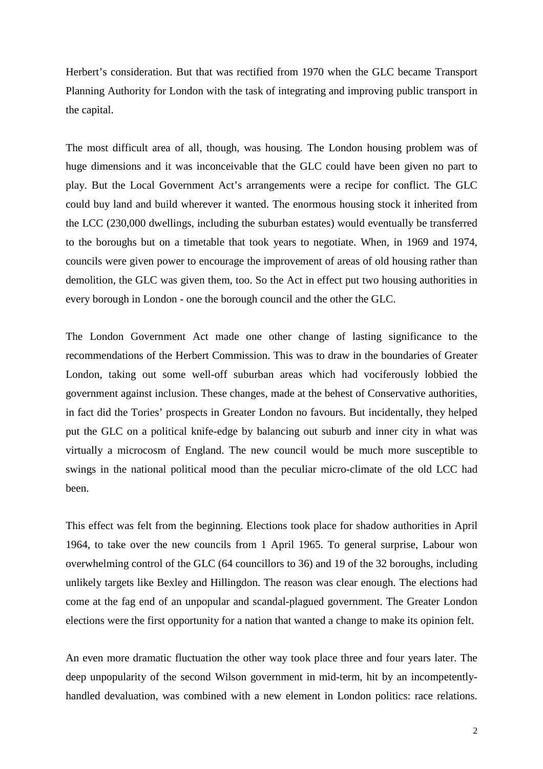Herbert's consideration. But that was rectified from 1970 when the GLC became Transport Planning Authority for London with the task of integrating and improving public transport in the capital.

The most difficult area of all, though, was housing. The London housing problem was of huge dimensions and it was inconceivable that the GLC could have been given no part to play. But the Local Government Act's arrangements were a recipe for conflict. The GLC could buy land and build wherever it wanted. The enormous housing stock it inherited from the LCC (230,000 dwellings, including the suburban estates) would eventually be transferred to the boroughs but on a timetable that took years to negotiate. When, in 1969 and 1974, councils were given power to encourage the improvement of areas of old housing rather than demolition, the GLC was given them, too. So the Act in effect put two housing authorities in every borough in London - one the borough council and the other the GLC.

The London Government Act made one other change of lasting significance to the recommendations of the Herbert Commission. This was to draw in the boundaries of Greater London, taking out some well-off suburban areas which had vociferously lobbied the government against inclusion. These changes, made at the behest of Conservative authorities, in fact did the Tories' prospects in Greater London no favours. But incidentally, they helped put the GLC on a political knife-edge by balancing out suburb and inner city in what was virtually a microcosm of England. The new council would be much more susceptible to swings in the national political mood than the peculiar micro-climate of the old LCC had been.

This effect was felt from the beginning. Elections took place for shadow authorities in April 1964, to take over the new councils from 1 April 1965. To general surprise, Labour won overwhelming control of the GLC (64 councillors to 36) and 19 of the 32 boroughs, including unlikely targets like Bexley and Hillingdon. The reason was clear enough. The elections had come at the fag end of an unpopular and scandal-plagued government. The Greater London elections were the first opportunity for a nation that wanted a change to make its opinion felt.

An even more dramatic fluctuation the other way took place three and four years later. The deep unpopularity of the second Wilson government in mid-term, hit by an incompetentlyhandled devaluation, was combined with a new element in London politics: race relations.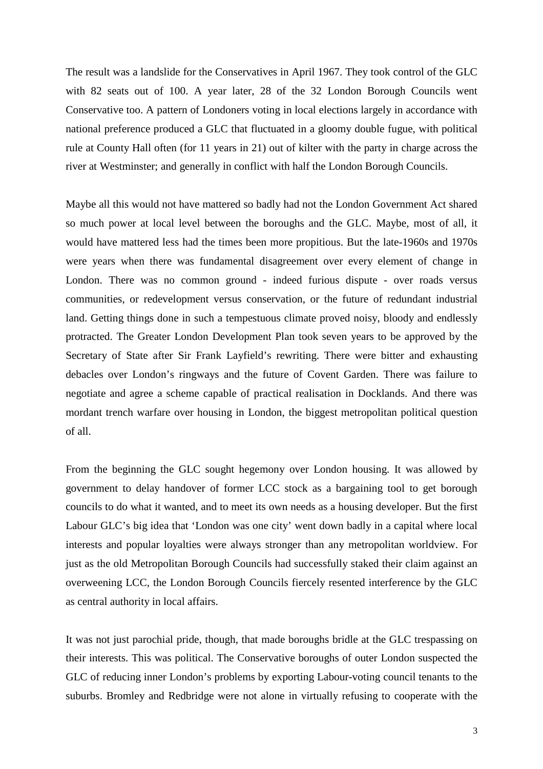The result was a landslide for the Conservatives in April 1967. They took control of the GLC with 82 seats out of 100. A year later, 28 of the 32 London Borough Councils went Conservative too. A pattern of Londoners voting in local elections largely in accordance with national preference produced a GLC that fluctuated in a gloomy double fugue, with political rule at County Hall often (for 11 years in 21) out of kilter with the party in charge across the river at Westminster; and generally in conflict with half the London Borough Councils.

Maybe all this would not have mattered so badly had not the London Government Act shared so much power at local level between the boroughs and the GLC. Maybe, most of all, it would have mattered less had the times been more propitious. But the late-1960s and 1970s were years when there was fundamental disagreement over every element of change in London. There was no common ground - indeed furious dispute - over roads versus communities, or redevelopment versus conservation, or the future of redundant industrial land. Getting things done in such a tempestuous climate proved noisy, bloody and endlessly protracted. The Greater London Development Plan took seven years to be approved by the Secretary of State after Sir Frank Layfield's rewriting. There were bitter and exhausting debacles over London's ringways and the future of Covent Garden. There was failure to negotiate and agree a scheme capable of practical realisation in Docklands. And there was mordant trench warfare over housing in London, the biggest metropolitan political question of all.

From the beginning the GLC sought hegemony over London housing. It was allowed by government to delay handover of former LCC stock as a bargaining tool to get borough councils to do what it wanted, and to meet its own needs as a housing developer. But the first Labour GLC's big idea that 'London was one city' went down badly in a capital where local interests and popular loyalties were always stronger than any metropolitan worldview. For just as the old Metropolitan Borough Councils had successfully staked their claim against an overweening LCC, the London Borough Councils fiercely resented interference by the GLC as central authority in local affairs.

It was not just parochial pride, though, that made boroughs bridle at the GLC trespassing on their interests. This was political. The Conservative boroughs of outer London suspected the GLC of reducing inner London's problems by exporting Labour-voting council tenants to the suburbs. Bromley and Redbridge were not alone in virtually refusing to cooperate with the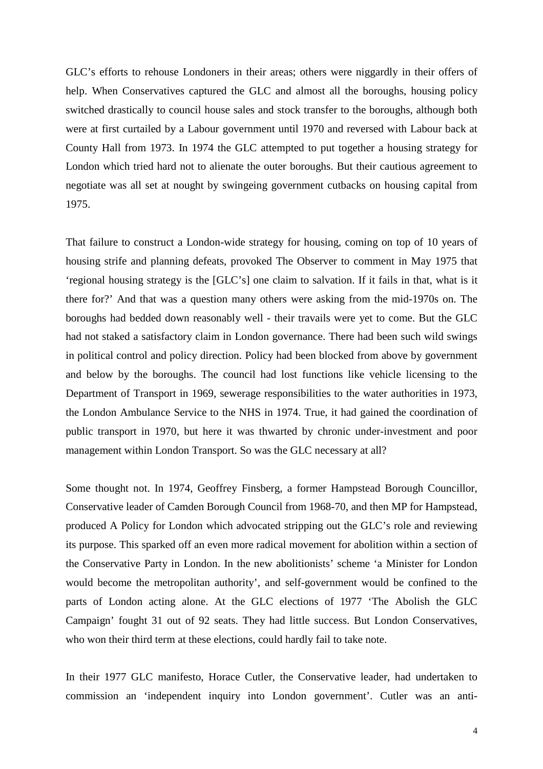GLC's efforts to rehouse Londoners in their areas; others were niggardly in their offers of help. When Conservatives captured the GLC and almost all the boroughs, housing policy switched drastically to council house sales and stock transfer to the boroughs, although both were at first curtailed by a Labour government until 1970 and reversed with Labour back at County Hall from 1973. In 1974 the GLC attempted to put together a housing strategy for London which tried hard not to alienate the outer boroughs. But their cautious agreement to negotiate was all set at nought by swingeing government cutbacks on housing capital from 1975.

That failure to construct a London-wide strategy for housing, coming on top of 10 years of housing strife and planning defeats, provoked The Observer to comment in May 1975 that 'regional housing strategy is the [GLC's] one claim to salvation. If it fails in that, what is it there for?' And that was a question many others were asking from the mid-1970s on. The boroughs had bedded down reasonably well - their travails were yet to come. But the GLC had not staked a satisfactory claim in London governance. There had been such wild swings in political control and policy direction. Policy had been blocked from above by government and below by the boroughs. The council had lost functions like vehicle licensing to the Department of Transport in 1969, sewerage responsibilities to the water authorities in 1973, the London Ambulance Service to the NHS in 1974. True, it had gained the coordination of public transport in 1970, but here it was thwarted by chronic under-investment and poor management within London Transport. So was the GLC necessary at all?

Some thought not. In 1974, Geoffrey Finsberg, a former Hampstead Borough Councillor, Conservative leader of Camden Borough Council from 1968-70, and then MP for Hampstead, produced A Policy for London which advocated stripping out the GLC's role and reviewing its purpose. This sparked off an even more radical movement for abolition within a section of the Conservative Party in London. In the new abolitionists' scheme 'a Minister for London would become the metropolitan authority', and self-government would be confined to the parts of London acting alone. At the GLC elections of 1977 'The Abolish the GLC Campaign' fought 31 out of 92 seats. They had little success. But London Conservatives, who won their third term at these elections, could hardly fail to take note.

In their 1977 GLC manifesto, Horace Cutler, the Conservative leader, had undertaken to commission an 'independent inquiry into London government'. Cutler was an anti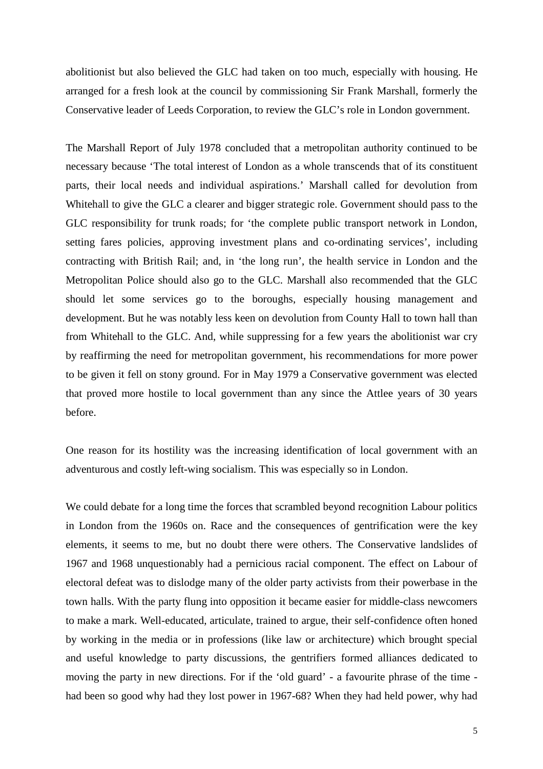abolitionist but also believed the GLC had taken on too much, especially with housing. He arranged for a fresh look at the council by commissioning Sir Frank Marshall, formerly the Conservative leader of Leeds Corporation, to review the GLC's role in London government.

The Marshall Report of July 1978 concluded that a metropolitan authority continued to be necessary because 'The total interest of London as a whole transcends that of its constituent parts, their local needs and individual aspirations.' Marshall called for devolution from Whitehall to give the GLC a clearer and bigger strategic role. Government should pass to the GLC responsibility for trunk roads; for 'the complete public transport network in London, setting fares policies, approving investment plans and co-ordinating services', including contracting with British Rail; and, in 'the long run', the health service in London and the Metropolitan Police should also go to the GLC. Marshall also recommended that the GLC should let some services go to the boroughs, especially housing management and development. But he was notably less keen on devolution from County Hall to town hall than from Whitehall to the GLC. And, while suppressing for a few years the abolitionist war cry by reaffirming the need for metropolitan government, his recommendations for more power to be given it fell on stony ground. For in May 1979 a Conservative government was elected that proved more hostile to local government than any since the Attlee years of 30 years before.

One reason for its hostility was the increasing identification of local government with an adventurous and costly left-wing socialism. This was especially so in London.

We could debate for a long time the forces that scrambled beyond recognition Labour politics in London from the 1960s on. Race and the consequences of gentrification were the key elements, it seems to me, but no doubt there were others. The Conservative landslides of 1967 and 1968 unquestionably had a pernicious racial component. The effect on Labour of electoral defeat was to dislodge many of the older party activists from their powerbase in the town halls. With the party flung into opposition it became easier for middle-class newcomers to make a mark. Well-educated, articulate, trained to argue, their self-confidence often honed by working in the media or in professions (like law or architecture) which brought special and useful knowledge to party discussions, the gentrifiers formed alliances dedicated to moving the party in new directions. For if the 'old guard' - a favourite phrase of the time had been so good why had they lost power in 1967-68? When they had held power, why had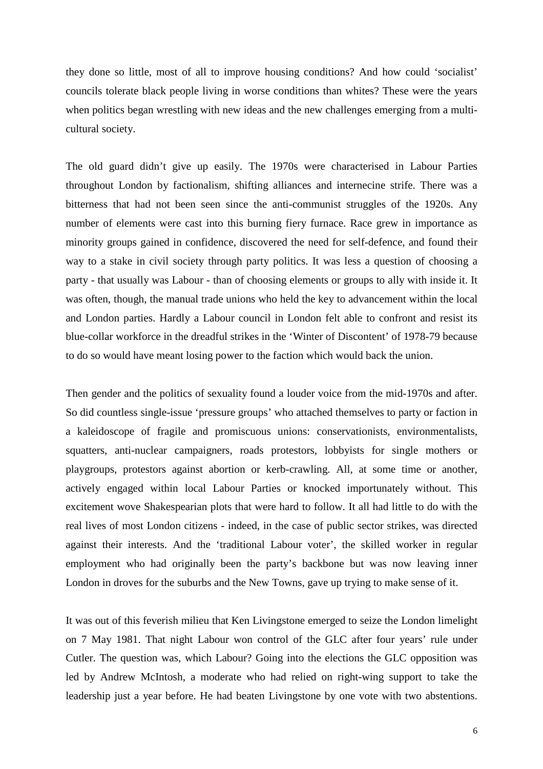they done so little, most of all to improve housing conditions? And how could 'socialist' councils tolerate black people living in worse conditions than whites? These were the years when politics began wrestling with new ideas and the new challenges emerging from a multicultural society.

The old guard didn't give up easily. The 1970s were characterised in Labour Parties throughout London by factionalism, shifting alliances and internecine strife. There was a bitterness that had not been seen since the anti-communist struggles of the 1920s. Any number of elements were cast into this burning fiery furnace. Race grew in importance as minority groups gained in confidence, discovered the need for self-defence, and found their way to a stake in civil society through party politics. It was less a question of choosing a party - that usually was Labour - than of choosing elements or groups to ally with inside it. It was often, though, the manual trade unions who held the key to advancement within the local and London parties. Hardly a Labour council in London felt able to confront and resist its blue-collar workforce in the dreadful strikes in the 'Winter of Discontent' of 1978-79 because to do so would have meant losing power to the faction which would back the union.

Then gender and the politics of sexuality found a louder voice from the mid-1970s and after. So did countless single-issue 'pressure groups' who attached themselves to party or faction in a kaleidoscope of fragile and promiscuous unions: conservationists, environmentalists, squatters, anti-nuclear campaigners, roads protestors, lobbyists for single mothers or playgroups, protestors against abortion or kerb-crawling. All, at some time or another, actively engaged within local Labour Parties or knocked importunately without. This excitement wove Shakespearian plots that were hard to follow. It all had little to do with the real lives of most London citizens - indeed, in the case of public sector strikes, was directed against their interests. And the 'traditional Labour voter', the skilled worker in regular employment who had originally been the party's backbone but was now leaving inner London in droves for the suburbs and the New Towns, gave up trying to make sense of it.

It was out of this feverish milieu that Ken Livingstone emerged to seize the London limelight on 7 May 1981. That night Labour won control of the GLC after four years' rule under Cutler. The question was, which Labour? Going into the elections the GLC opposition was led by Andrew McIntosh, a moderate who had relied on right-wing support to take the leadership just a year before. He had beaten Livingstone by one vote with two abstentions.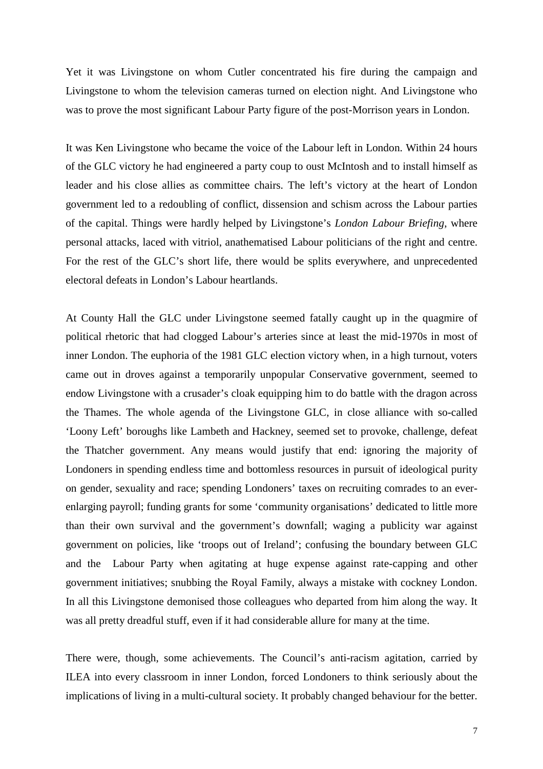Yet it was Livingstone on whom Cutler concentrated his fire during the campaign and Livingstone to whom the television cameras turned on election night. And Livingstone who was to prove the most significant Labour Party figure of the post-Morrison years in London.

It was Ken Livingstone who became the voice of the Labour left in London. Within 24 hours of the GLC victory he had engineered a party coup to oust McIntosh and to install himself as leader and his close allies as committee chairs. The left's victory at the heart of London government led to a redoubling of conflict, dissension and schism across the Labour parties of the capital. Things were hardly helped by Livingstone's *London Labour Briefing*, where personal attacks, laced with vitriol, anathematised Labour politicians of the right and centre. For the rest of the GLC's short life, there would be splits everywhere, and unprecedented electoral defeats in London's Labour heartlands.

At County Hall the GLC under Livingstone seemed fatally caught up in the quagmire of political rhetoric that had clogged Labour's arteries since at least the mid-1970s in most of inner London. The euphoria of the 1981 GLC election victory when, in a high turnout, voters came out in droves against a temporarily unpopular Conservative government, seemed to endow Livingstone with a crusader's cloak equipping him to do battle with the dragon across the Thames. The whole agenda of the Livingstone GLC, in close alliance with so-called 'Loony Left' boroughs like Lambeth and Hackney, seemed set to provoke, challenge, defeat the Thatcher government. Any means would justify that end: ignoring the majority of Londoners in spending endless time and bottomless resources in pursuit of ideological purity on gender, sexuality and race; spending Londoners' taxes on recruiting comrades to an everenlarging payroll; funding grants for some 'community organisations' dedicated to little more than their own survival and the government's downfall; waging a publicity war against government on policies, like 'troops out of Ireland'; confusing the boundary between GLC and the Labour Party when agitating at huge expense against rate-capping and other government initiatives; snubbing the Royal Family, always a mistake with cockney London. In all this Livingstone demonised those colleagues who departed from him along the way. It was all pretty dreadful stuff, even if it had considerable allure for many at the time.

There were, though, some achievements. The Council's anti-racism agitation, carried by ILEA into every classroom in inner London, forced Londoners to think seriously about the implications of living in a multi-cultural society. It probably changed behaviour for the better.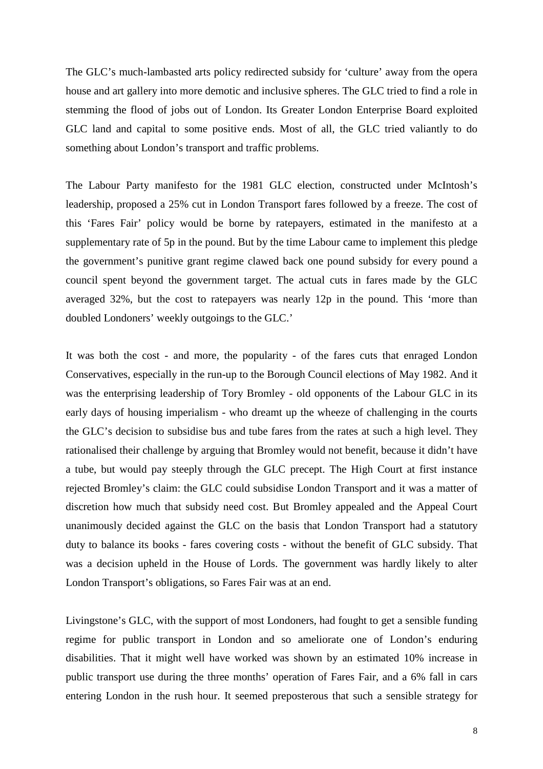The GLC's much-lambasted arts policy redirected subsidy for 'culture' away from the opera house and art gallery into more demotic and inclusive spheres. The GLC tried to find a role in stemming the flood of jobs out of London. Its Greater London Enterprise Board exploited GLC land and capital to some positive ends. Most of all, the GLC tried valiantly to do something about London's transport and traffic problems.

The Labour Party manifesto for the 1981 GLC election, constructed under McIntosh's leadership, proposed a 25% cut in London Transport fares followed by a freeze. The cost of this 'Fares Fair' policy would be borne by ratepayers, estimated in the manifesto at a supplementary rate of 5p in the pound. But by the time Labour came to implement this pledge the government's punitive grant regime clawed back one pound subsidy for every pound a council spent beyond the government target. The actual cuts in fares made by the GLC averaged 32%, but the cost to ratepayers was nearly 12p in the pound. This 'more than doubled Londoners' weekly outgoings to the GLC.'

It was both the cost - and more, the popularity - of the fares cuts that enraged London Conservatives, especially in the run-up to the Borough Council elections of May 1982. And it was the enterprising leadership of Tory Bromley - old opponents of the Labour GLC in its early days of housing imperialism - who dreamt up the wheeze of challenging in the courts the GLC's decision to subsidise bus and tube fares from the rates at such a high level. They rationalised their challenge by arguing that Bromley would not benefit, because it didn't have a tube, but would pay steeply through the GLC precept. The High Court at first instance rejected Bromley's claim: the GLC could subsidise London Transport and it was a matter of discretion how much that subsidy need cost. But Bromley appealed and the Appeal Court unanimously decided against the GLC on the basis that London Transport had a statutory duty to balance its books - fares covering costs - without the benefit of GLC subsidy. That was a decision upheld in the House of Lords. The government was hardly likely to alter London Transport's obligations, so Fares Fair was at an end.

Livingstone's GLC, with the support of most Londoners, had fought to get a sensible funding regime for public transport in London and so ameliorate one of London's enduring disabilities. That it might well have worked was shown by an estimated 10% increase in public transport use during the three months' operation of Fares Fair, and a 6% fall in cars entering London in the rush hour. It seemed preposterous that such a sensible strategy for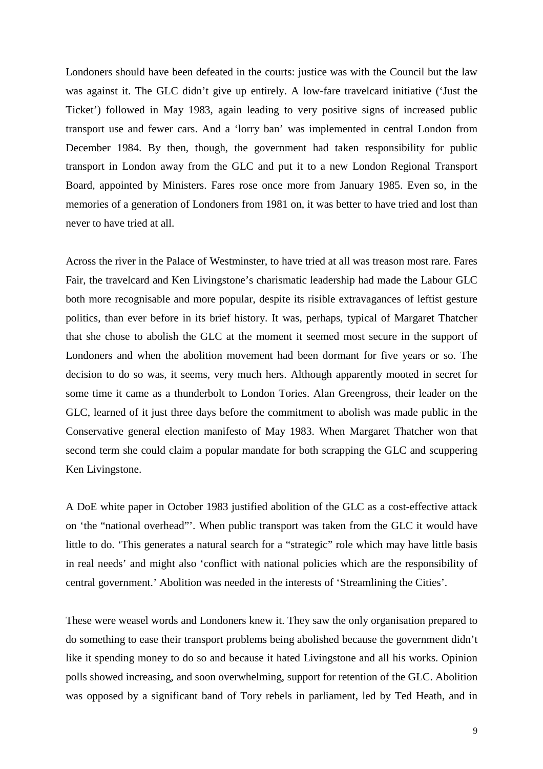Londoners should have been defeated in the courts: justice was with the Council but the law was against it. The GLC didn't give up entirely. A low-fare travelcard initiative ('Just the Ticket') followed in May 1983, again leading to very positive signs of increased public transport use and fewer cars. And a 'lorry ban' was implemented in central London from December 1984. By then, though, the government had taken responsibility for public transport in London away from the GLC and put it to a new London Regional Transport Board, appointed by Ministers. Fares rose once more from January 1985. Even so, in the memories of a generation of Londoners from 1981 on, it was better to have tried and lost than never to have tried at all.

Across the river in the Palace of Westminster, to have tried at all was treason most rare. Fares Fair, the travelcard and Ken Livingstone's charismatic leadership had made the Labour GLC both more recognisable and more popular, despite its risible extravagances of leftist gesture politics, than ever before in its brief history. It was, perhaps, typical of Margaret Thatcher that she chose to abolish the GLC at the moment it seemed most secure in the support of Londoners and when the abolition movement had been dormant for five years or so. The decision to do so was, it seems, very much hers. Although apparently mooted in secret for some time it came as a thunderbolt to London Tories. Alan Greengross, their leader on the GLC, learned of it just three days before the commitment to abolish was made public in the Conservative general election manifesto of May 1983. When Margaret Thatcher won that second term she could claim a popular mandate for both scrapping the GLC and scuppering Ken Livingstone.

A DoE white paper in October 1983 justified abolition of the GLC as a cost-effective attack on 'the "national overhead"'. When public transport was taken from the GLC it would have little to do. 'This generates a natural search for a "strategic" role which may have little basis in real needs' and might also 'conflict with national policies which are the responsibility of central government.' Abolition was needed in the interests of 'Streamlining the Cities'.

These were weasel words and Londoners knew it. They saw the only organisation prepared to do something to ease their transport problems being abolished because the government didn't like it spending money to do so and because it hated Livingstone and all his works. Opinion polls showed increasing, and soon overwhelming, support for retention of the GLC. Abolition was opposed by a significant band of Tory rebels in parliament, led by Ted Heath, and in